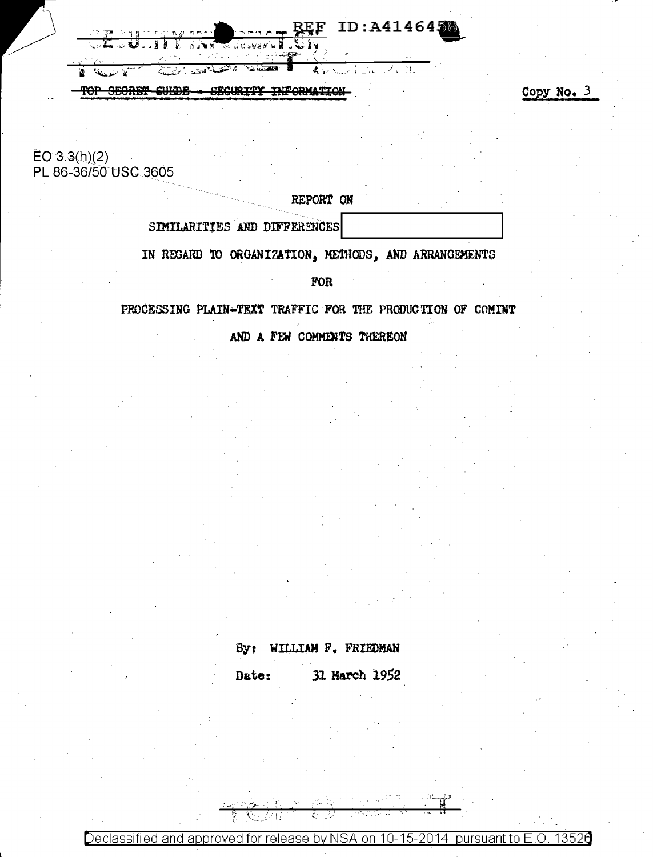ID:A4146420

च

TOP SECRET SUEDE SECURITY INFORMATION Copy No. 3

 $EO 3.3(h)(2)$ PL 86-36/50 USC 3605

الأسندعناني

ź.

REPORT ON

SIMILARITIES AND DIFFERENCES

IN REGARD TO ORGANIZATION, METHODS, AND ARRANGEMENTS

**FOR** 

PROCESSING PLAIN-TEXT TRAFFIC FOR THE PRODUCTION OF COMINT

AND A FEW COMMENTS THEREON

By: WILLIAM F. FRIEDMAN

31 March 1952 Date:

<u> Declassified and approved for release by NSA on 10-15-2014.</u> 13526 pursuant to E.O.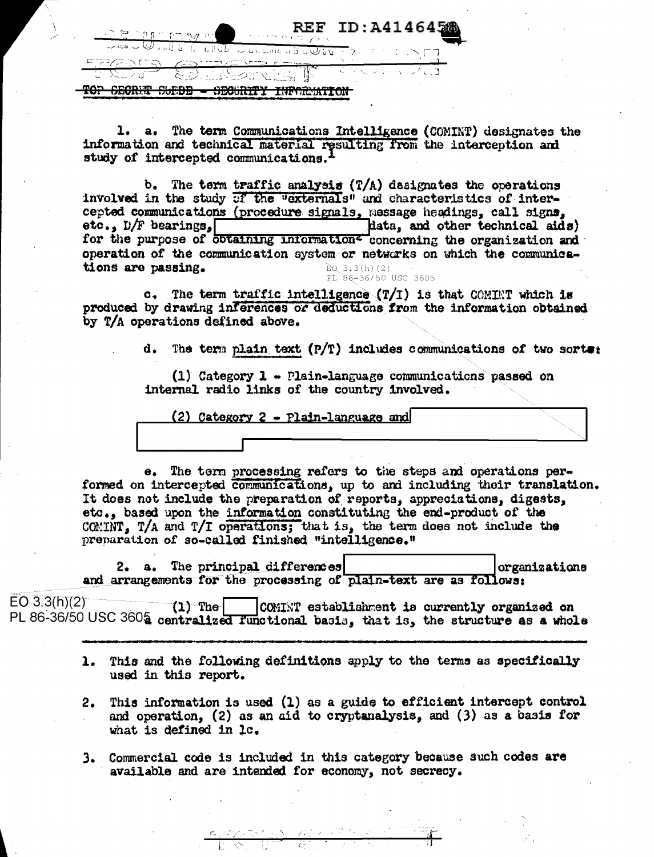| $REF$ TD: $\Delta$ 41464568<br>$\mathcal{M} \subset \mathcal{M} \subset \mathcal{M} \subset \mathcal{M} \subset \mathcal{M} \subset \mathcal{M}$                                                                                                           |  |
|------------------------------------------------------------------------------------------------------------------------------------------------------------------------------------------------------------------------------------------------------------|--|
| a di internet di Kuta Afrikan                                                                                                                                                                                                                              |  |
| <u> FRANS GRADE E-ST</u><br>THE REAL REPORT OF THE REPORT OF THE STATE OF THE REAL PROPERTY OF THE REAL PROPERTY OF THE REAL PROPERTY OF THE REAL PROPERTY OF THE REAL PROPERTY OF THE REAL PROPERTY OF THE REAL PROPERTY OF THE REAL PROPERTY OF THE REAL |  |
| <b>WITTS A THILL CHE ALL</b><br>a an<br><i>ULNUILLE.</i>                                                                                                                                                                                                   |  |

1. a. The term Communications Intelligence (COMINT) designates the information and technical material resulting from the interception and study of intercepted communications.<sup>1</sup>

b. The term traffic analysis  $(T/A)$  dasignates the operations involved in the study of the "externals" and characteristics of intercepted communications (procedure signals, message headings, call signs, etc., D/F bearings, data, and other technical aids) for the purpose of obtaining information<sup>z</sup> concerning the organization and operation of the communication system or networks on which the communications are passing.  $EQ_3.3(h)(2)$ PL 86-36/50 USC 3605

The term traffic intelligence  $(T/T)$  is that COMINT which is  $\mathbf{c}$ . produced by drawing inferences or deductions from the information obtained by T/A operations defined above.

> d. The term plain text  $(P/T)$  includes communications of two sorte:

(1) Category  $1$  - Plain-language communications passed on internal radio links of the country involved.

(2) Category  $2$  - Plain-language and

e. The term processing refers to the steps and operations performed on intercepted communications, up to and including their translation. It does not include the preparation of reports, appreciations, digests, etc., based upon the information constituting the end-product of the COMINT, T/A and T/I operations; that is, the term does not include the preparation of so-called finished "intelligence."

The principal differences organizations 2. a. and arrangements for the processing of plain-text are as follows:

 $EO$  3.3(h)(2)  $(1)$  The COMINT establishment is currently organized on PL 86-36/50 USC 3605 centralized functional basis, that is, the structure as a whole

- 1. This and the following definitions apply to the terms as specifically used in this report.
- This information is used (1) as a guide to efficient intercept control  $2.$ and operation, (2) as an aid to cryptanalysis, and (3) as a basis for what is defined in 1c.
- 3. Commercial code is included in this category because such codes are available and are intended for economy, not secrecy.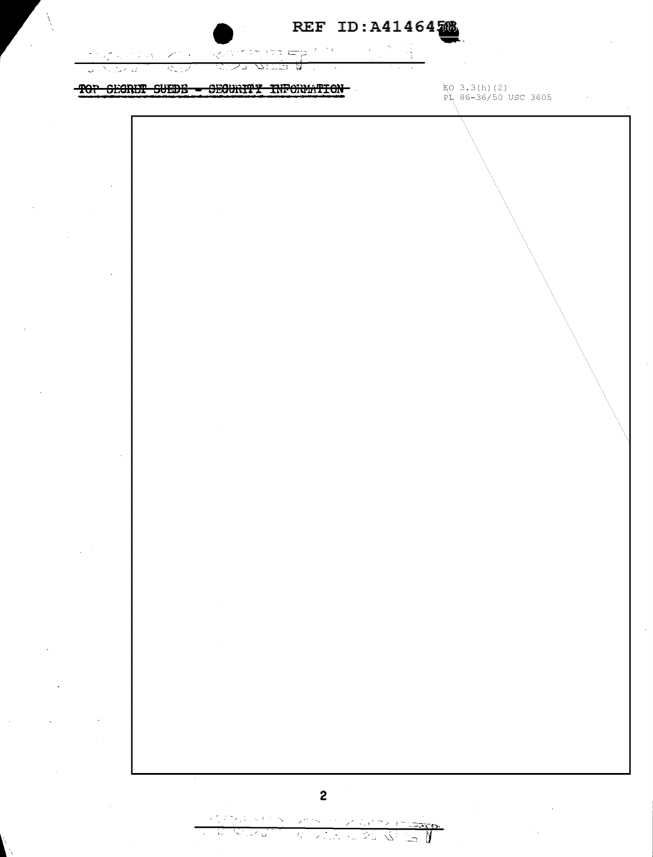|  | REF ID: A41464568 |
|--|-------------------|
|  |                   |

in light to the state expl  $\sigma_{\rm{eff}}$  $\omega$  .  $\omega$  $1.1 - 1.5$  $\mathbb{R}^n \times \mathbb{R}^n$ ÷Ŷ, ਨਤਬ ベップ انتشام छ Napoleo I  $\mathbb{Z}^2$ 

## TOP SEGRET SUEDE - SEGURITY INFORMATION

ko 3.3(h)(2)<br>PL 86-36/50 USC 3605

 $\sim$   $\sim$ 



アラーティング أفادتكم Contractor St W Ŋ ್ಲಿ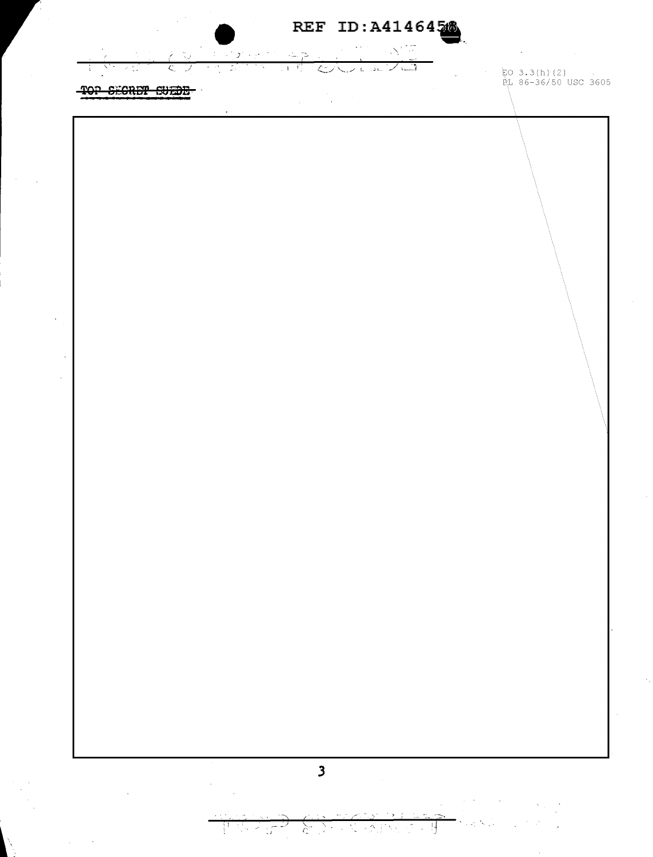$\sim$  N  $^{17.77}_{-10.0}$ فالمستدرج فيتعاد  $\sim$  $\overline{\mathcal{D}}_1$  $L$  in  $L$  in  $I$  $\overline{\mathcal{L}}$  $\overline{\overline{C}}$ IJ  $\overline{\phantom{0}}$ 

TOP SECRET SUEDE

- 記0 3.3(h)(2)<br>- 良L 86-36/50 USC 3605

 $\zeta$ 

Ţ

N R κŕ ファス あかくさんす

 $\omega_{\rm c}$  , and  $\omega_{\rm c}$ 

i vi N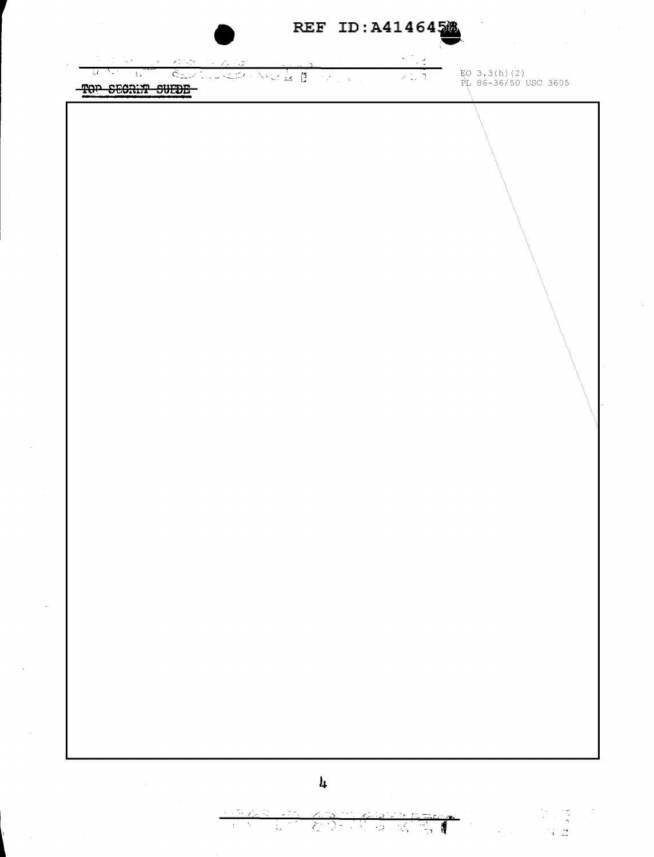REF ID: A4146458

심을  $\mathscr{S}^*_{\mathbb{R}}$ 45 Charles Well I May  $\mathcal{A}$  $\mathcal{L}$ ਾ ਪੰ ノロゴ TOP SECRIT SUFDE

 $\bar{z}$ 

 $EO$  3.3(h)(2)<br>PL 86-36/50 USC 3605

## $\mathbf{h}$

 $\gamma_{\rm c}$  $\sim$  15  $^{\circ}$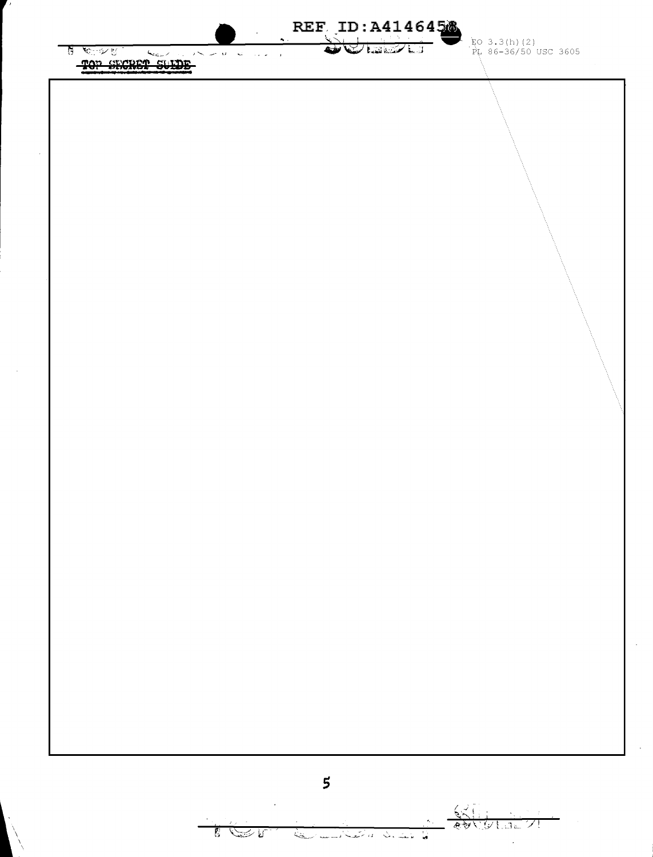REF ID: A4146458 EO 3.3(h)(2)<br>PL 86-36/50 USC 3605 WE MAN **हैं** र<sub>ि</sub>ष्ट TOP SECRET SULDE



كتف بيسا بمنعة أناس كالمشابا

 $\sqrt{2}$ 

F.

 $\hat{\mathcal{F}}$ 

G.

توجيعهم

シヒュニント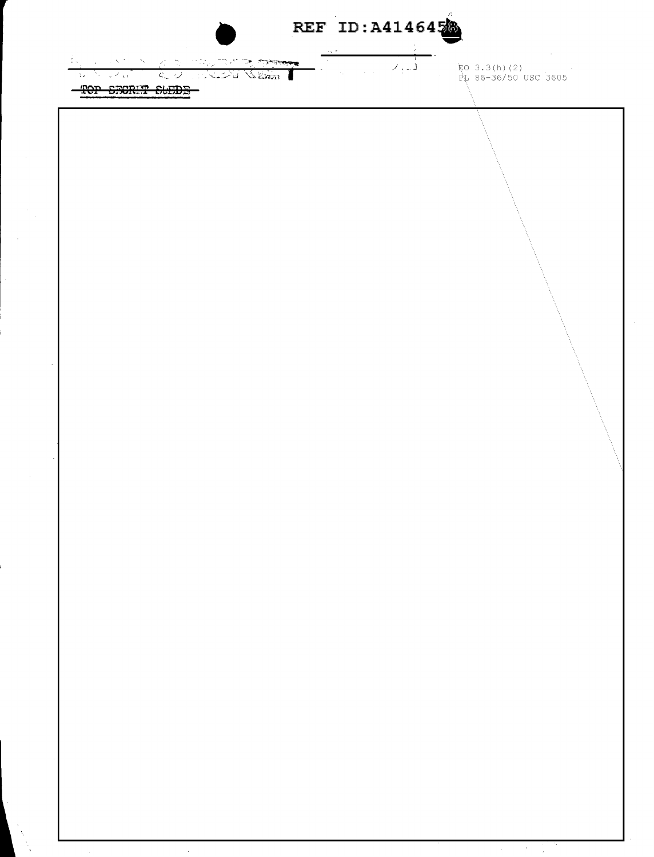REF ID: A4146458

 $\frac{1}{\sqrt{2}}$ 

ing was a series when the three in the series of the series of the series of the series of the series of the series of the series of the series of the series of the series of the series of the series of the series of the s TOP STORIT SUEDE

ko 3.3(h)(2)<br>PL 86-36/50 USC 3605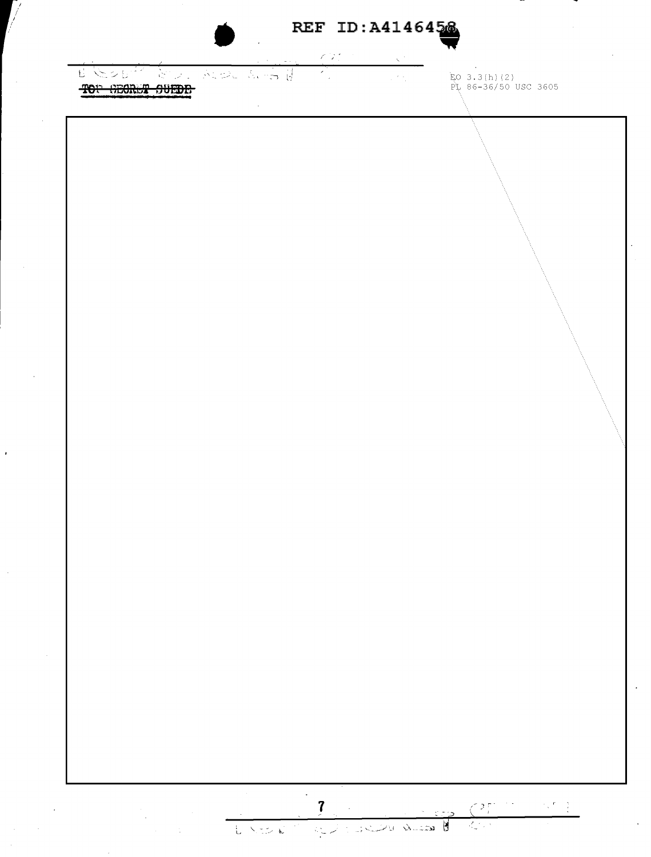## REF ID: A4146458

 $\mathscr{O}(\mathscr{X})$  $\bar{\mathbf{v}}$ 

U BOUT BULLADE SER  $\sum_{i=1}^{n}$  $\mathcal{L}_{\mathcal{A}_1}$ TOP GEORGY SUEDE

V

ko 3.3(h)(2)<br>PI 86-36/50 USC 3605

LASE RELEASE SUB 8 AM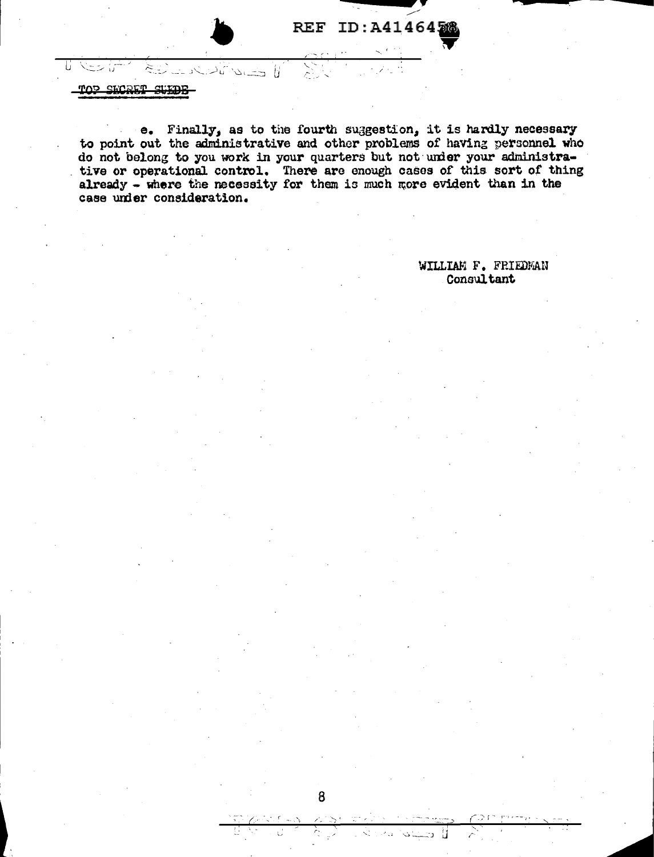TOP SECRET SUEDE

 $\approx$ 

تأريخا تأملا

تما ستشنأ

e. Finally, as to the fourth suggestion, it is hardly necessary to point out the administrative and other problems of having personnel who do not belong to you work in your quarters but not under your administrative or operational control. There are enough cases of this sort of thing already  $\overline{\bullet}$  where the necessity for them is much more evident than in the case under consideration.

8

WILLIAM F. FRIEDMAN Consultant